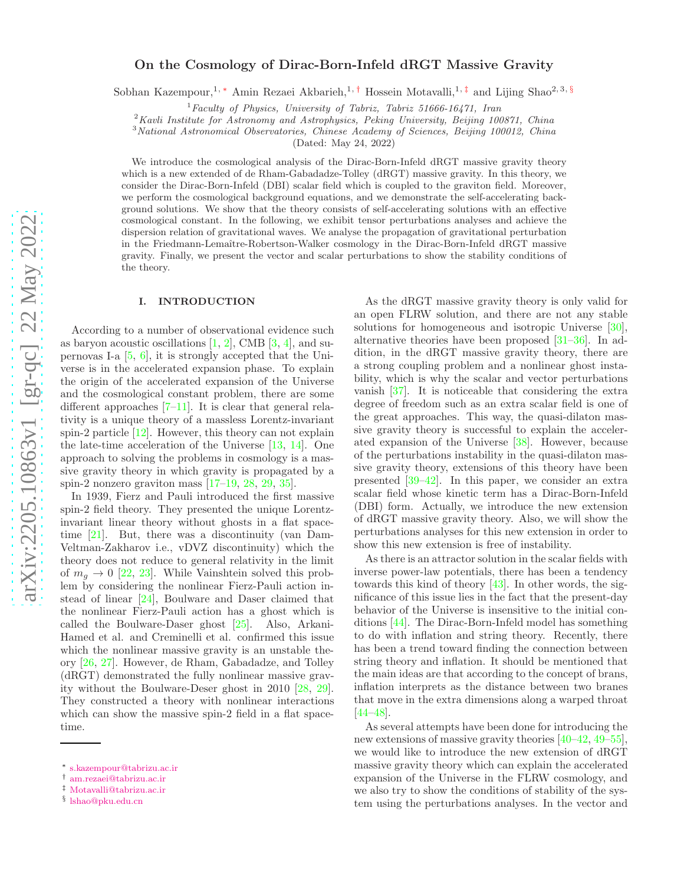# On the Cosmology of Dirac-Born-Infeld dRGT Massive Gravity

Sobhan Kazempour,<sup>1, [∗](#page-0-0)</sup> Amin Rezaei Akbarieh,<sup>1,[†](#page-0-1)</sup> Hossein Motavalli,<sup>1,[‡](#page-0-2)</sup> and Lijing Shao<sup>2,3, [§](#page-0-3)</sup>

 ${}^{1}$ Faculty of Physics, University of Tabriz, Tabriz 51666-16471, Iran

<sup>2</sup>Kavli Institute for Astronomy and Astrophysics, Peking University, Beijing 100871, China

<sup>3</sup> National Astronomical Observatories, Chinese Academy of Sciences, Beijing 100012, China

(Dated: May 24, 2022)

We introduce the cosmological analysis of the Dirac-Born-Infeld dRGT massive gravity theory which is a new extended of de Rham-Gabadadze-Tolley (dRGT) massive gravity. In this theory, we consider the Dirac-Born-Infeld (DBI) scalar field which is coupled to the graviton field. Moreover, we perform the cosmological background equations, and we demonstrate the self-accelerating background solutions. We show that the theory consists of self-accelerating solutions with an effective cosmological constant. In the following, we exhibit tensor perturbations analyses and achieve the dispersion relation of gravitational waves. We analyse the propagation of gravitational perturbation in the Friedmann-Lemaître-Robertson-Walker cosmology in the Dirac-Born-Infeld dRGT massive gravity. Finally, we present the vector and scalar perturbations to show the stability conditions of the theory.

### I. INTRODUCTION

According to a number of observational evidence such as baryon acoustic oscillations  $[1, 2]$  $[1, 2]$ , CMB  $[3, 4]$  $[3, 4]$ , and supernovas I-a [\[5,](#page-8-4) [6](#page-8-5)], it is strongly accepted that the Universe is in the accelerated expansion phase. To explain the origin of the accelerated expansion of the Universe and the cosmological constant problem, there are some different approaches [\[7](#page-8-6)[–11\]](#page-8-7). It is clear that general relativity is a unique theory of a massless Lorentz-invariant spin-2 particle [\[12](#page-8-8)]. However, this theory can not explain the late-time acceleration of the Universe [\[13](#page-8-9), [14\]](#page-8-10). One approach to solving the problems in cosmology is a massive gravity theory in which gravity is propagated by a spin-2 nonzero graviton mass  $[17-19, 28, 29, 35]$  $[17-19, 28, 29, 35]$  $[17-19, 28, 29, 35]$  $[17-19, 28, 29, 35]$  $[17-19, 28, 29, 35]$  $[17-19, 28, 29, 35]$  $[17-19, 28, 29, 35]$ .

In 1939, Fierz and Pauli introduced the first massive spin-2 field theory. They presented the unique Lorentzinvariant linear theory without ghosts in a flat spacetime [\[21](#page-8-16)]. But, there was a discontinuity (van Dam-Veltman-Zakharov i.e., vDVZ discontinuity) which the theory does not reduce to general relativity in the limit of  $m_q \rightarrow 0$  [\[22](#page-8-17), [23\]](#page-8-18). While Vainshtein solved this problem by considering the nonlinear Fierz-Pauli action instead of linear [\[24](#page-8-19)], Boulware and Daser claimed that the nonlinear Fierz-Pauli action has a ghost which is called the Boulware-Daser ghost [\[25\]](#page-8-20). Also, Arkani-Hamed et al. and Creminelli et al. confirmed this issue which the nonlinear massive gravity is an unstable theory [\[26](#page-8-21), [27](#page-8-22)]. However, de Rham, Gabadadze, and Tolley (dRGT) demonstrated the fully nonlinear massive gravity without the Boulware-Deser ghost in 2010 [\[28](#page-8-13), [29\]](#page-8-14). They constructed a theory with nonlinear interactions which can show the massive spin-2 field in a flat spacetime.

As the dRGT massive gravity theory is only valid for an open FLRW solution, and there are not any stable solutions for homogeneous and isotropic Universe [\[30\]](#page-8-23), alternative theories have been proposed [\[31](#page-8-24)[–36\]](#page-8-25). In addition, in the dRGT massive gravity theory, there are a strong coupling problem and a nonlinear ghost instability, which is why the scalar and vector perturbations vanish [\[37\]](#page-8-26). It is noticeable that considering the extra degree of freedom such as an extra scalar field is one of the great approaches. This way, the quasi-dilaton massive gravity theory is successful to explain the accelerated expansion of the Universe [\[38\]](#page-8-27). However, because of the perturbations instability in the quasi-dilaton massive gravity theory, extensions of this theory have been presented [\[39](#page-9-0)[–42](#page-9-1)]. In this paper, we consider an extra scalar field whose kinetic term has a Dirac-Born-Infeld (DBI) form. Actually, we introduce the new extension of dRGT massive gravity theory. Also, we will show the perturbations analyses for this new extension in order to show this new extension is free of instability.

As there is an attractor solution in the scalar fields with inverse power-law potentials, there has been a tendency towards this kind of theory [\[43\]](#page-9-2). In other words, the significance of this issue lies in the fact that the present-day behavior of the Universe is insensitive to the initial conditions [\[44\]](#page-9-3). The Dirac-Born-Infeld model has something to do with inflation and string theory. Recently, there has been a trend toward finding the connection between string theory and inflation. It should be mentioned that the main ideas are that according to the concept of brans, inflation interprets as the distance between two branes that move in the extra dimensions along a warped throat [\[44](#page-9-3)[–48\]](#page-9-4).

As several attempts have been done for introducing the new extensions of massive gravity theories [\[40](#page-9-5)[–42,](#page-9-1) [49](#page-9-6)[–55\]](#page-9-7), we would like to introduce the new extension of dRGT massive gravity theory which can explain the accelerated expansion of the Universe in the FLRW cosmology, and we also try to show the conditions of stability of the system using the perturbations analyses. In the vector and

<span id="page-0-0"></span><sup>∗</sup> [s.kazempour@tabrizu.ac.ir](mailto:s.kazempour@tabrizu.ac.ir)

<span id="page-0-1"></span><sup>†</sup> [am.rezaei@tabrizu.ac.ir](mailto:am.rezaei@tabrizu.ac.ir)

<span id="page-0-2"></span><sup>‡</sup> [Motavalli@tabrizu.ac.ir](mailto:Motavalli@tabrizu.ac.ir)

<span id="page-0-3"></span><sup>§</sup> [lshao@pku.edu.cn](mailto:lshao@pku.edu.cn)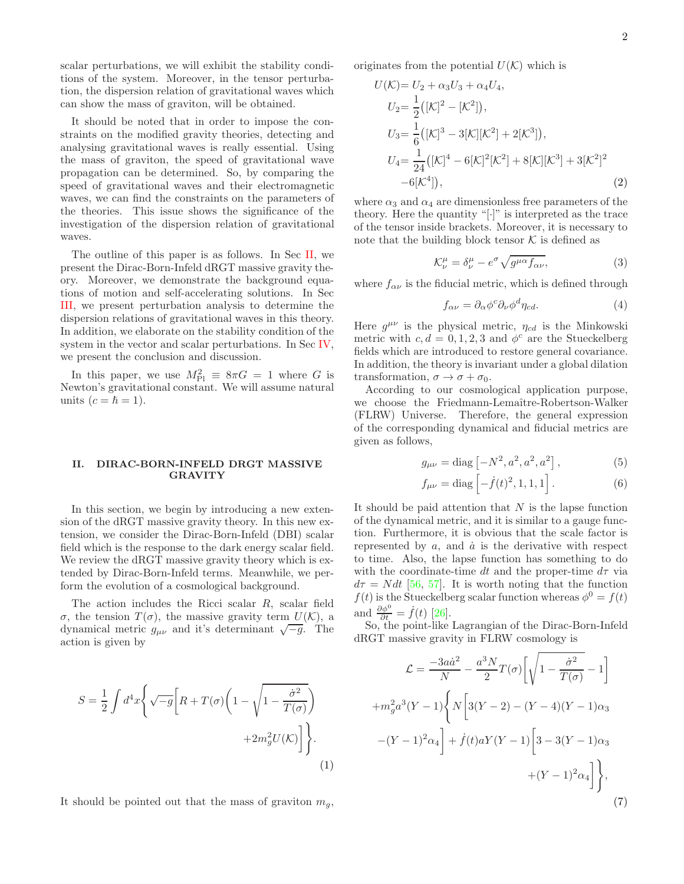2

scalar perturbations, we will exhibit the stability conditions of the system. Moreover, in the tensor perturbation, the dispersion relation of gravitational waves which can show the mass of graviton, will be obtained.

It should be noted that in order to impose the constraints on the modified gravity theories, detecting and analysing gravitational waves is really essential. Using the mass of graviton, the speed of gravitational wave propagation can be determined. So, by comparing the speed of gravitational waves and their electromagnetic waves, we can find the constraints on the parameters of the theories. This issue shows the significance of the investigation of the dispersion relation of gravitational waves.

The outline of this paper is as follows. In Sec [II,](#page-1-0) we present the Dirac-Born-Infeld dRGT massive gravity theory. Moreover, we demonstrate the background equations of motion and self-accelerating solutions. In Sec [III,](#page-3-0) we present perturbation analysis to determine the dispersion relations of gravitational waves in this theory. In addition, we elaborate on the stability condition of the system in the vector and scalar perturbations. In Sec [IV,](#page-7-0) we present the conclusion and discussion.

In this paper, we use  $M_{\text{Pl}}^2 \equiv 8\pi G = 1$  where G is Newton's gravitational constant. We will assume natural units  $(c = \hbar = 1)$ .

## <span id="page-1-0"></span>II. DIRAC-BORN-INFELD DRGT MASSIVE GRAVITY

In this section, we begin by introducing a new extension of the dRGT massive gravity theory. In this new extension, we consider the Dirac-Born-Infeld (DBI) scalar field which is the response to the dark energy scalar field. We review the dRGT massive gravity theory which is extended by Dirac-Born-Infeld terms. Meanwhile, we perform the evolution of a cosmological background.

The action includes the Ricci scalar R, scalar field σ, the tension  $T(σ)$ , the massive gravity term  $U(K)$ , a dynamical metric  $g_{\mu\nu}$  and it's determinant  $\sqrt{-g}$ . The action is given by

$$
S = \frac{1}{2} \int d^4x \left\{ \sqrt{-g} \left[ R + T(\sigma) \left( 1 - \sqrt{1 - \frac{\dot{\sigma}^2}{T(\sigma)}} \right) + 2m_g^2 U(\mathcal{K}) \right] \right\}.
$$
\n(1)

It should be pointed out that the mass of graviton  $m_q$ ,

originates from the potential  $U(\mathcal{K})$  which is

$$
U(\mathcal{K}) = U_2 + \alpha_3 U_3 + \alpha_4 U_4,
$$
  
\n
$$
U_2 = \frac{1}{2} ([\mathcal{K}]^2 - [\mathcal{K}^2]),
$$
  
\n
$$
U_3 = \frac{1}{6} ([\mathcal{K}]^3 - 3[\mathcal{K}][\mathcal{K}^2] + 2[\mathcal{K}^3]),
$$
  
\n
$$
U_4 = \frac{1}{24} ([\mathcal{K}]^4 - 6[\mathcal{K}]^2[\mathcal{K}^2] + 8[\mathcal{K}][\mathcal{K}^3] + 3[\mathcal{K}^2]^2
$$
  
\n
$$
-6[\mathcal{K}^4]),
$$
\n(2)

where  $\alpha_3$  and  $\alpha_4$  are dimensionless free parameters of the theory. Here the quantity " $[\cdot]$ " is interpreted as the trace of the tensor inside brackets. Moreover, it is necessary to note that the building block tensor  $K$  is defined as

$$
\mathcal{K}^{\mu}_{\nu} = \delta^{\mu}_{\nu} - e^{\sigma} \sqrt{g^{\mu \alpha} f_{\alpha \nu}},\tag{3}
$$

where  $f_{\alpha\nu}$  is the fiducial metric, which is defined through

$$
f_{\alpha\nu} = \partial_{\alpha}\phi^c \partial_{\nu}\phi^d \eta_{cd}.
$$
 (4)

Here  $g^{\mu\nu}$  is the physical metric,  $\eta_{cd}$  is the Minkowski metric with  $c, d = 0, 1, 2, 3$  and  $\phi^c$  are the Stueckelberg fields which are introduced to restore general covariance. In addition, the theory is invariant under a global dilation transformation,  $\sigma \to \sigma + \sigma_0$ .

According to our cosmological application purpose, we choose the Friedmann-Lemaître-Robertson-Walker (FLRW) Universe. Therefore, the general expression of the corresponding dynamical and fiducial metrics are given as follows,

$$
g_{\mu\nu} = \text{diag}\left[-N^2, a^2, a^2, a^2\right],\tag{5}
$$

$$
f_{\mu\nu} = \text{diag}\left[-\dot{f}(t)^2, 1, 1, 1\right].\tag{6}
$$

It should be paid attention that  $N$  is the lapse function of the dynamical metric, and it is similar to a gauge function. Furthermore, it is obvious that the scale factor is represented by  $a$ , and  $\dot{a}$  is the derivative with respect to time. Also, the lapse function has something to do with the coordinate-time dt and the proper-time  $d\tau$  via  $d\tau = N dt$  [\[56,](#page-9-8) [57](#page-9-9)]. It is worth noting that the function  $f(t)$  is the Stueckelberg scalar function whereas  $\phi^0 = f(t)$ and  $\frac{\partial \phi^0}{\partial t} = \dot{f}(t)$  [\[26\]](#page-8-21).

So, the point-like Lagrangian of the Dirac-Born-Infeld dRGT massive gravity in FLRW cosmology is

$$
\mathcal{L} = \frac{-3a\dot{a}^2}{N} - \frac{a^3 N}{2} T(\sigma) \left[ \sqrt{1 - \frac{\dot{\sigma}^2}{T(\sigma)}} - 1 \right]
$$

$$
+ m_g^2 a^3 (Y - 1) \left\{ N \left[ 3(Y - 2) - (Y - 4)(Y - 1)\alpha_3 + (Y - 1)^2 \alpha_4 \right] + \dot{f}(t) a Y (Y - 1) \left[ 3 - 3(Y - 1)\alpha_3 + (Y - 1)^2 \alpha_4 \right] \right\},\tag{7}
$$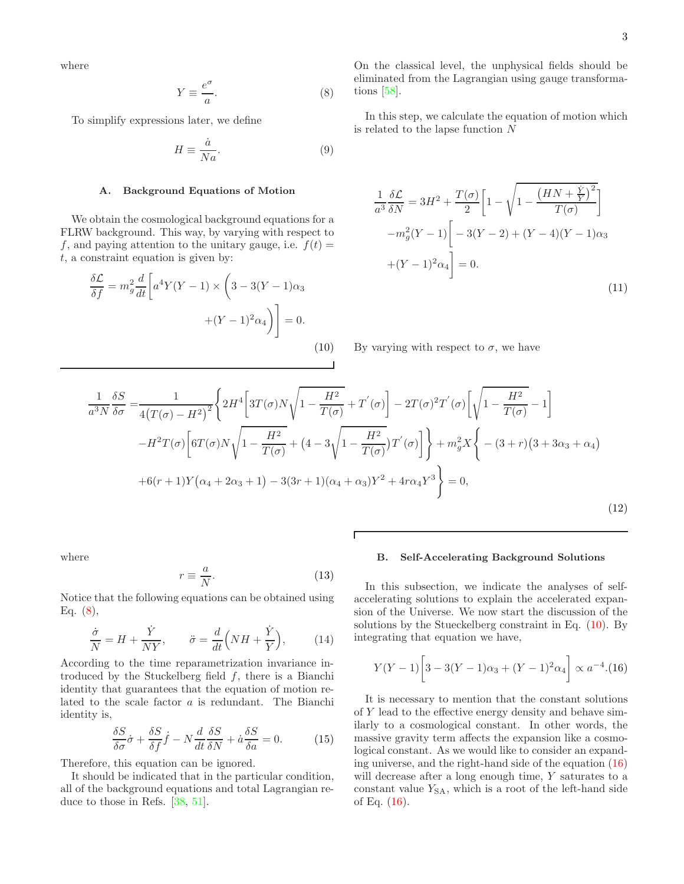where

<span id="page-2-0"></span>
$$
Y \equiv \frac{e^{\sigma}}{a}.\tag{8}
$$

To simplify expressions later, we define

$$
H \equiv \frac{\dot{a}}{Na}.\tag{9}
$$

#### A. Background Equations of Motion

We obtain the cosmological background equations for a FLRW background. This way, by varying with respect to f, and paying attention to the unitary gauge, i.e.  $f(t) =$  $t$ , a constraint equation is given by:

<span id="page-2-1"></span>
$$
\frac{\delta \mathcal{L}}{\delta f} = m_g^2 \frac{d}{dt} \left[ a^4 Y (Y - 1) \times \left( 3 - 3(Y - 1) \alpha_3 \right) + (Y - 1)^2 \alpha_4 \right) \right] = 0.
$$
\n(10)

On the classical level, the unphysical fields should be eliminated from the Lagrangian using gauge transformations [\[58](#page-9-10)].

In this step, we calculate the equation of motion which is related to the lapse function N

<span id="page-2-3"></span>
$$
\frac{1}{a^3} \frac{\delta \mathcal{L}}{\delta N} = 3H^2 + \frac{T(\sigma)}{2} \left[ 1 - \sqrt{1 - \frac{\left(HN + \frac{\dot{Y}}{Y}\right)^2}{T(\sigma)}} \right]
$$

$$
-m_g^2 (Y - 1) \left[ -3(Y - 2) + (Y - 4)(Y - 1)\alpha_3 \right]
$$

$$
+(Y - 1)^2 \alpha_4 \right] = 0.
$$
(11)

By varying with respect to  $\sigma$ , we have

<span id="page-2-4"></span>
$$
\frac{1}{a^3 N} \frac{\delta S}{\delta \sigma} = \frac{1}{4(T(\sigma) - H^2)^2} \left\{ 2H^4 \left[ 3T(\sigma) N \sqrt{1 - \frac{H^2}{T(\sigma)}} + T'(\sigma) \right] - 2T(\sigma)^2 T'(\sigma) \left[ \sqrt{1 - \frac{H^2}{T(\sigma)}} - 1 \right] - H^2 T(\sigma) \left[ 6T(\sigma) N \sqrt{1 - \frac{H^2}{T(\sigma)}} + (4 - 3\sqrt{1 - \frac{H^2}{T(\sigma)}}) T'(\sigma) \right] \right\} + m_g^2 X \left\{ - (3 + r)(3 + 3\alpha_3 + \alpha_4) + 6(r + 1)Y(\alpha_4 + 2\alpha_3 + 1) - 3(3r + 1)(\alpha_4 + \alpha_3) Y^2 + 4r\alpha_4 Y^3 \right\} = 0,
$$
\n(12)

Г

where

$$
r \equiv \frac{a}{N}.\tag{13}
$$

Notice that the following equations can be obtained using Eq.  $(8)$ ,

$$
\frac{\dot{\sigma}}{N} = H + \frac{\dot{Y}}{NY}, \qquad \ddot{\sigma} = \frac{d}{dt}\left(NH + \frac{\dot{Y}}{Y}\right), \tag{14}
$$

According to the time reparametrization invariance introduced by the Stuckelberg field  $f$ , there is a Bianchi identity that guarantees that the equation of motion related to the scale factor a is redundant. The Bianchi identity is,

$$
\frac{\delta S}{\delta \sigma} \dot{\sigma} + \frac{\delta S}{\delta f} \dot{f} - N \frac{d}{dt} \frac{\delta S}{\delta N} + \dot{a} \frac{\delta S}{\delta a} = 0.
$$
 (15)

Therefore, this equation can be ignored.

It should be indicated that in the particular condition, all of the background equations and total Lagrangian reduce to those in Refs. [\[38,](#page-8-27) [51\]](#page-9-11).

## B. Self-Accelerating Background Solutions

In this subsection, we indicate the analyses of selfaccelerating solutions to explain the accelerated expansion of the Universe. We now start the discussion of the solutions by the Stueckelberg constraint in Eq. [\(10\)](#page-2-1). By integrating that equation we have,

<span id="page-2-2"></span>
$$
Y(Y-1)\bigg[3-3(Y-1)\alpha_3+(Y-1)^2\alpha_4\bigg]\propto a^{-4}.\text{(16)}
$$

It is necessary to mention that the constant solutions of Y lead to the effective energy density and behave similarly to a cosmological constant. In other words, the massive gravity term affects the expansion like a cosmological constant. As we would like to consider an expanding universe, and the right-hand side of the equation [\(16\)](#page-2-2) will decrease after a long enough time, Y saturates to a constant value  $Y_{SA}$ , which is a root of the left-hand side of Eq.  $(16)$ .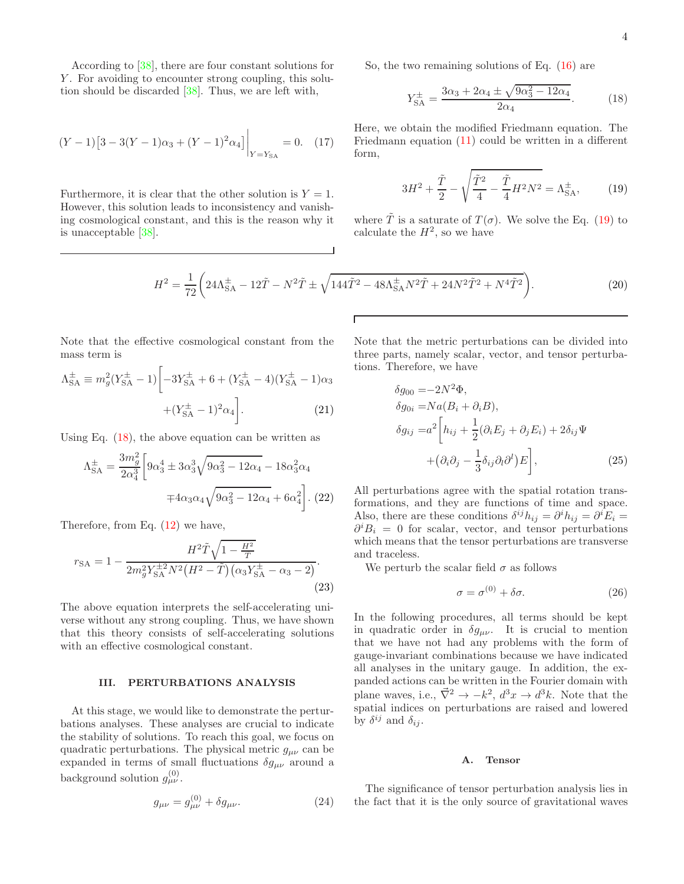According to [\[38\]](#page-8-27), there are four constant solutions for Y. For avoiding to encounter strong coupling, this solution should be discarded [\[38\]](#page-8-27). Thus, we are left with,

$$
(Y-1)\left[3-3(Y-1)\alpha_3+(Y-1)^2\alpha_4\right]\Big|_{Y=Y_{\rm SA}}=0.\quad(17)
$$

Furthermore, it is clear that the other solution is  $Y = 1$ . However, this solution leads to inconsistency and vanishing cosmological constant, and this is the reason why it is unacceptable [\[38\]](#page-8-27).

So, the two remaining solutions of Eq. 
$$
(16)
$$
 are

<span id="page-3-2"></span>
$$
Y_{\rm SA}^{\pm} = \frac{3\alpha_3 + 2\alpha_4 \pm \sqrt{9\alpha_3^2 - 12\alpha_4}}{2\alpha_4}.
$$
 (18)

Here, we obtain the modified Friedmann equation. The Friedmann equation [\(11\)](#page-2-3) could be written in a different form,

<span id="page-3-1"></span>
$$
3H^2 + \frac{\tilde{T}}{2} - \sqrt{\frac{\tilde{T}^2}{4} - \frac{\tilde{T}}{4}H^2N^2} = \Lambda_{SA}^{\pm},\tag{19}
$$

where  $\tilde{T}$  is a saturate of  $T(\sigma)$ . We solve the Eq. [\(19\)](#page-3-1) to calculate the  $H^2$ , so we have

$$
H^{2} = \frac{1}{72} \left( 24\Lambda_{\text{SA}}^{\pm} - 12\tilde{T} - N^{2}\tilde{T} \pm \sqrt{144\tilde{T}^{2} - 48\Lambda_{\text{SA}}^{\pm}N^{2}\tilde{T} + 24N^{2}\tilde{T}^{2} + N^{4}\tilde{T}^{2}} \right).
$$
 (20)

Note that the effective cosmological constant from the mass term is

$$
\Lambda_{SA}^{\pm} \equiv m_g^2 (Y_{SA}^{\pm} - 1) \left[ -3Y_{SA}^{\pm} + 6 + (Y_{SA}^{\pm} - 4)(Y_{SA}^{\pm} - 1)\alpha_3 + (Y_{SA}^{\pm} - 1)^2 \alpha_4 \right].
$$
\n(21)

Using Eq.  $(18)$ , the above equation can be written as

$$
\Lambda_{SA}^{\pm} = \frac{3m_g^2}{2\alpha_4^3} \left[ 9\alpha_3^4 \pm 3\alpha_3^3 \sqrt{9\alpha_3^2 - 12\alpha_4} - 18\alpha_3^2 \alpha_4 \right. \\
\left. + 4\alpha_3 \alpha_4 \sqrt{9\alpha_3^2 - 12\alpha_4} + 6\alpha_4^2 \right].
$$
 (22)

Therefore, from Eq. [\(12\)](#page-2-4) we have,

$$
r_{\text{SA}} = 1 - \frac{H^2 \tilde{T} \sqrt{1 - \frac{H^2}{\tilde{T}}}}{2m_g^2 Y_{\text{SA}}^{\pm 2} N^2 \left(H^2 - \tilde{T}\right) \left(\alpha_3 Y_{\text{SA}}^{\pm} - \alpha_3 - 2\right)}.
$$
\n(23)

The above equation interprets the self-accelerating universe without any strong coupling. Thus, we have shown that this theory consists of self-accelerating solutions with an effective cosmological constant.

## <span id="page-3-0"></span>III. PERTURBATIONS ANALYSIS

At this stage, we would like to demonstrate the perturbations analyses. These analyses are crucial to indicate the stability of solutions. To reach this goal, we focus on quadratic perturbations. The physical metric  $g_{\mu\nu}$  can be expanded in terms of small fluctuations  $\delta g_{\mu\nu}$  around a background solution  $g_{\mu\nu}^{(0)}$ .

$$
g_{\mu\nu} = g_{\mu\nu}^{(0)} + \delta g_{\mu\nu}.
$$
 (24)

Note that the metric perturbations can be divided into three parts, namely scalar, vector, and tensor perturbations. Therefore, we have

$$
\delta g_{00} = -2N^2 \Phi,
$$
  
\n
$$
\delta g_{0i} = Na(B_i + \partial_i B),
$$
  
\n
$$
\delta g_{ij} = a^2 \left[ h_{ij} + \frac{1}{2} (\partial_i E_j + \partial_j E_i) + 2\delta_{ij} \Psi + (\partial_i \partial_j - \frac{1}{3} \delta_{ij} \partial_i \partial_i^j) E \right],
$$
\n(25)

All perturbations agree with the spatial rotation transformations, and they are functions of time and space. Also, there are these conditions  $\delta^{ij} h_{ij} = \partial^i h_{ij} = \partial^i E_i =$  $\partial^i B_i = 0$  for scalar, vector, and tensor perturbations which means that the tensor perturbations are transverse and traceless.

We perturb the scalar field  $\sigma$  as follows

$$
\sigma = \sigma^{(0)} + \delta \sigma. \tag{26}
$$

In the following procedures, all terms should be kept in quadratic order in  $\delta g_{\mu\nu}$ . It is crucial to mention that we have not had any problems with the form of gauge-invariant combinations because we have indicated all analyses in the unitary gauge. In addition, the expanded actions can be written in the Fourier domain with plane waves, i.e.,  $\vec{\nabla}^2 \to -k^2$ ,  $d^3x \to d^3k$ . Note that the spatial indices on perturbations are raised and lowered by  $\delta^{ij}$  and  $\delta_{ij}$ .

#### <span id="page-3-3"></span>A. Tensor

The significance of tensor perturbation analysis lies in the fact that it is the only source of gravitational waves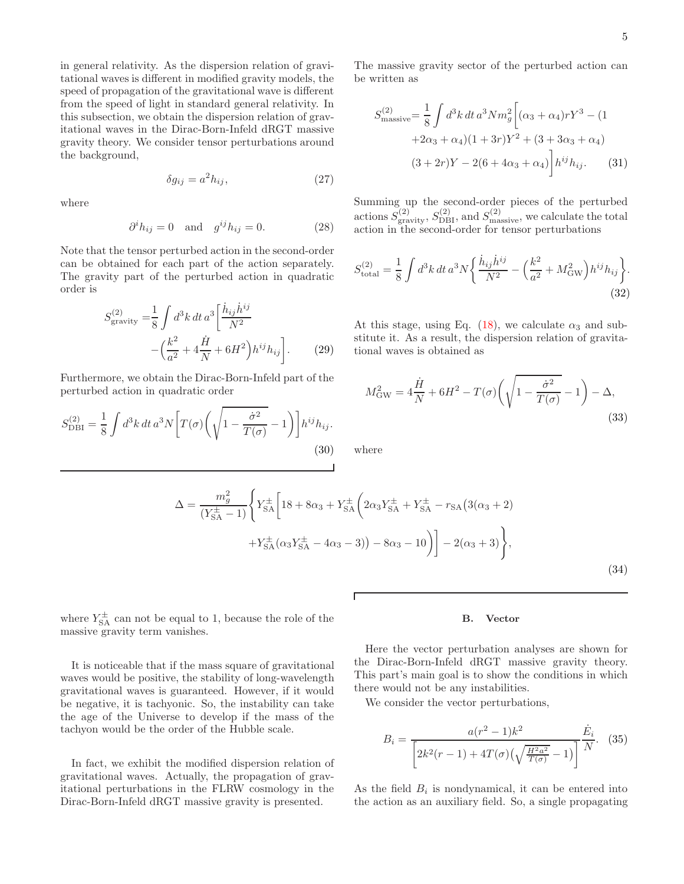in general relativity. As the dispersion relation of gravitational waves is different in modified gravity models, the speed of propagation of the gravitational wave is different from the speed of light in standard general relativity. In this subsection, we obtain the dispersion relation of gravitational waves in the Dirac-Born-Infeld dRGT massive gravity theory. We consider tensor perturbations around the background,

$$
\delta g_{ij} = a^2 h_{ij},\tag{27}
$$

where

$$
\partial^i h_{ij} = 0 \quad \text{and} \quad g^{ij} h_{ij} = 0. \tag{28}
$$

Note that the tensor perturbed action in the second-order can be obtained for each part of the action separately. The gravity part of the perturbed action in quadratic order is

$$
S_{\text{gravity}}^{(2)} = \frac{1}{8} \int d^3k \, dt \, a^3 \left[ \frac{\dot{h}_{ij} \dot{h}^{ij}}{N^2} - \left( \frac{k^2}{a^2} + 4\frac{\dot{H}}{N} + 6H^2 \right) h^{ij} h_{ij} \right].
$$
 (29)

Furthermore, we obtain the Dirac-Born-Infeld part of the perturbed action in quadratic order

$$
S_{\rm DBI}^{(2)} = \frac{1}{8} \int d^3k \, dt \, a^3 N \left[ T(\sigma) \left( \sqrt{1 - \frac{\dot{\sigma}^2}{T(\sigma)}} - 1 \right) \right] h^{ij} h_{ij}.
$$
\n(30)

The massive gravity sector of the perturbed action can be written as

$$
S_{\text{massive}}^{(2)} = \frac{1}{8} \int d^3k \, dt \, a^3 N m_g^2 \bigg[ (\alpha_3 + \alpha_4) r Y^3 - (1 + 2\alpha_3 + \alpha_4)(1 + 3r) Y^2 + (3 + 3\alpha_3 + \alpha_4) (3 + 2r)Y - 2(6 + 4\alpha_3 + \alpha_4) \bigg] h^{ij} h_{ij}.
$$
 (31)

Summing up the second-order pieces of the perturbed actions  $S_{\text{gravity}}^{(2)}$ ,  $S_{\text{DBI}}^{(2)}$ , and  $S_{\text{massive}}^{(2)}$ , we calculate the total action in the second-order for tensor perturbations

$$
S_{\text{total}}^{(2)} = \frac{1}{8} \int d^3k \, dt \, a^3 N \left\{ \frac{\dot{h}_{ij} \dot{h}^{ij}}{N^2} - \left(\frac{k^2}{a^2} + M_{\text{GW}}^2\right) h^{ij} h_{ij} \right\}.
$$
\n(32)

At this stage, using Eq. [\(18\)](#page-3-2), we calculate  $\alpha_3$  and substitute it. As a result, the dispersion relation of gravitational waves is obtained as

$$
M_{\rm GW}^2 = 4\frac{\dot{H}}{N} + 6H^2 - T(\sigma)\left(\sqrt{1 - \frac{\dot{\sigma}^2}{T(\sigma)}} - 1\right) - \Delta,
$$
\n(33)

where

$$
\Delta = \frac{m_g^2}{(Y_{SA}^{\pm} - 1)} \left\{ Y_{SA}^{\pm} \left[ 18 + 8\alpha_3 + Y_{SA}^{\pm} \left( 2\alpha_3 Y_{SA}^{\pm} + Y_{SA}^{\pm} - r_{SA} \left( 3(\alpha_3 + 2) \right) \right) \right. \\ \left. + Y_{SA}^{\pm} (\alpha_3 Y_{SA}^{\pm} - 4\alpha_3 - 3) \right) - 8\alpha_3 - 10 \right) \right\} - 2(\alpha_3 + 3) \left\},\tag{34}
$$

where  $Y_{\text{SA}}^{\pm}$  can not be equal to 1, because the role of the massive gravity term vanishes.

It is noticeable that if the mass square of gravitational waves would be positive, the stability of long-wavelength gravitational waves is guaranteed. However, if it would be negative, it is tachyonic. So, the instability can take the age of the Universe to develop if the mass of the tachyon would be the order of the Hubble scale.

In fact, we exhibit the modified dispersion relation of gravitational waves. Actually, the propagation of gravitational perturbations in the FLRW cosmology in the Dirac-Born-Infeld dRGT massive gravity is presented.

## B. Vector

Here the vector perturbation analyses are shown for the Dirac-Born-Infeld dRGT massive gravity theory. This part's main goal is to show the conditions in which there would not be any instabilities.

We consider the vector perturbations,

$$
B_i = \frac{a(r^2 - 1)k^2}{\left[2k^2(r - 1) + 4T(\sigma)\left(\sqrt{\frac{H^2 a^2}{T(\sigma)}} - 1\right)\right]} \frac{\dot{E}_i}{N}.
$$
 (35)

As the field  $B_i$  is nondynamical, it can be entered into the action as an auxiliary field. So, a single propagating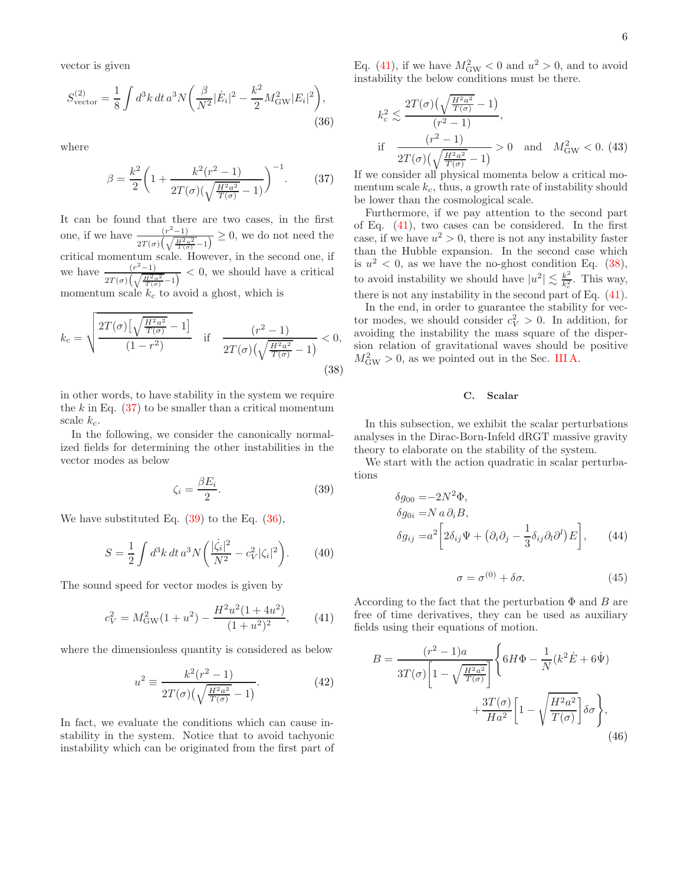vector is given

<span id="page-5-2"></span>
$$
S_{\text{vector}}^{(2)} = \frac{1}{8} \int d^3k \, dt \, a^3 N \bigg( \frac{\beta}{N^2} |\dot{E}_i|^2 - \frac{k^2}{2} M_{\text{GW}}^2 |E_i|^2 \bigg),\tag{36}
$$

where

<span id="page-5-0"></span>
$$
\beta = \frac{k^2}{2} \left( 1 + \frac{k^2 (r^2 - 1)}{2T(\sigma) (\sqrt{\frac{H^2 a^2}{T(\sigma)}} - 1)} \right)^{-1}.
$$
 (37)

It can be found that there are two cases, in the first one, if we have  $\frac{(r^2-1)}{(r^2-1)}$  $\frac{(r-1)}{2T(\sigma)\left(\sqrt{\frac{H^2 a^2}{T(\sigma)}}-1\right)} \geq 0$ , we do not need the critical momentum scale. However, in the second one, if we have  $\frac{(r^2-1)}{(r^2-1)}$  $\frac{(r-1)}{2T(\sigma)\left(\sqrt{\frac{H^2a^2}{T(\sigma)}}-1\right)}$  < 0, we should have a critical momentum scale  $k_c$  to avoid a ghost, which is

<span id="page-5-4"></span>
$$
k_c = \sqrt{\frac{2T(\sigma)\left[\sqrt{\frac{H^2 a^2}{T(\sigma)}} - 1\right]}{(1 - r^2)}} \quad \text{if} \quad \frac{(r^2 - 1)}{2T(\sigma)\left(\sqrt{\frac{H^2 a^2}{T(\sigma)}} - 1\right)} < 0,
$$
\n(38)

in other words, to have stability in the system we require the  $k$  in Eq.  $(37)$  to be smaller than a critical momentum scale  $k_c$ .

In the following, we consider the canonically normalized fields for determining the other instabilities in the vector modes as below

<span id="page-5-1"></span>
$$
\zeta_i = \frac{\beta E_i}{2}.\tag{39}
$$

We have substituted Eq.  $(39)$  to the Eq.  $(36)$ ,

$$
S = \frac{1}{2} \int d^3k \, dt \, a^3 N \bigg( \frac{|\dot{\zeta}_i|^2}{N^2} - c_V^2 |\zeta_i|^2 \bigg). \tag{40}
$$

The sound speed for vector modes is given by

<span id="page-5-3"></span>
$$
c_V^2 = M_{\rm GW}^2 (1 + u^2) - \frac{H^2 u^2 (1 + 4u^2)}{(1 + u^2)^2}, \qquad (41)
$$

where the dimensionless quantity is considered as below

$$
u^{2} \equiv \frac{k^{2}(r^{2} - 1)}{2T(\sigma)\left(\sqrt{\frac{H^{2}a^{2}}{T(\sigma)}} - 1\right)}.
$$
 (42)

In fact, we evaluate the conditions which can cause instability in the system. Notice that to avoid tachyonic instability which can be originated from the first part of

Eq. [\(41\)](#page-5-3), if we have  $M_{\text{GW}}^2 < 0$  and  $u^2 > 0$ , and to avoid instability the below conditions must be there.

$$
k_c^2 \lesssim \frac{2T(\sigma)\left(\sqrt{\frac{H^2 a^2}{T(\sigma)}} - 1\right)}{(r^2 - 1)},
$$
  
if  $\frac{(r^2 - 1)}{2T(\sigma)\left(\sqrt{\frac{H^2 a^2}{T(\sigma)}} - 1\right)} > 0$  and  $M_{\text{GW}}^2 < 0$ . (43)

If we consider all physical momenta below a critical momentum scale  $k_c$ , thus, a growth rate of instability should be lower than the cosmological scale.

Furthermore, if we pay attention to the second part of Eq. [\(41\)](#page-5-3), two cases can be considered. In the first case, if we have  $u^2 > 0$ , there is not any instability faster than the Hubble expansion. In the second case which is  $u^2 < 0$ , as we have the no-ghost condition Eq. [\(38\)](#page-5-4), to avoid instability we should have  $|u^2| \lesssim \frac{k^2}{k_c^2}$  $\frac{k^2}{k_c^2}$ . This way, there is not any instability in the second part of Eq. [\(41\)](#page-5-3).

In the end, in order to guarantee the stability for vector modes, we should consider  $c_V^2 > 0$ . In addition, for avoiding the instability the mass square of the dispersion relation of gravitational waves should be positive  $M_{\text{GW}}^2 > 0$ , as we pointed out in the Sec. [III A.](#page-3-3)

#### C. Scalar

In this subsection, we exhibit the scalar perturbations analyses in the Dirac-Born-Infeld dRGT massive gravity theory to elaborate on the stability of the system.

We start with the action quadratic in scalar perturbations

$$
\delta g_{00} = -2N^2 \Phi,
$$
  
\n
$$
\delta g_{0i} = N a \partial_i B,
$$
  
\n
$$
\delta g_{ij} = a^2 \left[ 2\delta_{ij} \Psi + (\partial_i \partial_j - \frac{1}{3} \delta_{ij} \partial_i \partial^l) E \right],
$$
\n(44)

$$
\sigma = \sigma^{(0)} + \delta \sigma. \tag{45}
$$

According to the fact that the perturbation  $\Phi$  and  $B$  are free of time derivatives, they can be used as auxiliary fields using their equations of motion.

$$
B = \frac{(r^2 - 1)a}{3T(\sigma)\left[1 - \sqrt{\frac{H^2 a^2}{T(\sigma)}}\right]} \left\{ 6H\Phi - \frac{1}{N}(k^2 \dot{E} + 6\dot{\Psi}) + \frac{3T(\sigma)}{Ha^2} \left[1 - \sqrt{\frac{H^2 a^2}{T(\sigma)}}\right] \delta\sigma \right\},\tag{46}
$$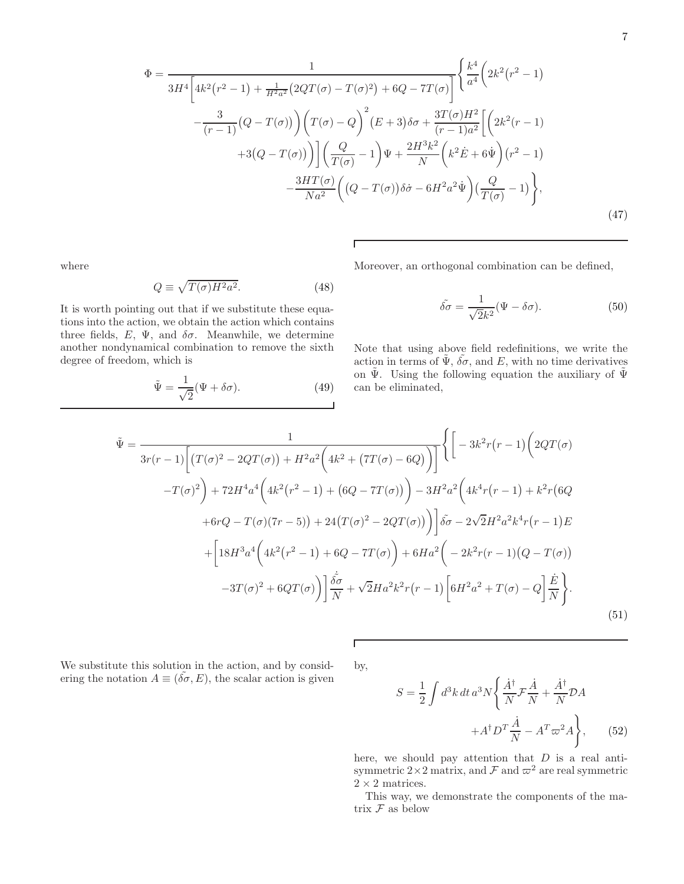$$
\Phi = \frac{1}{3H^4 \left[ 4k^2 (r^2 - 1) + \frac{1}{H^2 a^2} (2QT(\sigma) - T(\sigma)^2) + 6Q - 7T(\sigma) \right]} \left\{ \frac{k^4}{a^4} \left( 2k^2 (r^2 - 1) - \frac{3}{(r - 1)} (Q - T(\sigma)) \right) \left( T(\sigma) - Q \right)^2 (E + 3) \delta \sigma + \frac{3T(\sigma)H^2}{(r - 1)a^2} \left[ \left( 2k^2 (r - 1) + 3(Q - T(\sigma)) \right) \right] \left( \frac{Q}{T(\sigma)} - 1 \right) \Psi + \frac{2H^3 k^2}{N} \left( k^2 \dot{E} + 6\dot{\Psi} \right) (r^2 - 1) - \frac{3HT(\sigma)}{Na^2} \left( (Q - T(\sigma)) \delta \dot{\sigma} - 6H^2 a^2 \dot{\Psi} \right) \left( \frac{Q}{T(\sigma)} - 1 \right) \right\},
$$
\n(47)

Г

where

$$
Q \equiv \sqrt{T(\sigma)H^2a^2}.
$$
 (48)

It is worth pointing out that if we substitute these equations into the action, we obtain the action which contains three fields,  $E, \Psi$ , and  $\delta\sigma$ . Meanwhile, we determine another nondynamical combination to remove the sixth degree of freedom, which is

$$
\tilde{\Psi} = \frac{1}{\sqrt{2}} (\Psi + \delta \sigma). \tag{49}
$$

Moreover, an orthogonal combination can be defined,

$$
\tilde{\delta\sigma} = \frac{1}{\sqrt{2}k^2} (\Psi - \delta\sigma). \tag{50}
$$

7

Note that using above field redefinitions, we write the action in terms of  $\tilde{\Psi}$ ,  $\tilde{\delta\sigma}$ , and E, with no time derivatives on  $\tilde{\Psi}$ . Using the following equation the auxiliary of  $\tilde{\Psi}$ can be eliminated,

$$
\tilde{\Psi} = \frac{1}{3r(r-1)\left[\left(T(\sigma)^2 - 2QT(\sigma)\right) + H^2 a^2 \left(4k^2 + \left(7T(\sigma) - 6Q\right)\right)\right]}\left\{\left[-3k^2r(r-1)\left(2QT(\sigma) - T(\sigma)^2\right) + 72H^4 a^4 \left(4k^2(r^2-1) + \left(6Q - 7T(\sigma)\right)\right) - 3H^2 a^2 \left(4k^4r(r-1) + k^2r\left(6Q - 6Q\right)\right)\right)\right\}
$$
\n
$$
+6rQ - T(\sigma)(7r-5) + 24\left(T(\sigma)^2 - 2QT(\sigma)\right)\right]\tilde{\delta\sigma} - 2\sqrt{2}H^2 a^2 k^4 r(r-1)E
$$
\n
$$
+ \left[18H^3 a^4 \left(4k^2(r^2-1) + 6Q - 7T(\sigma)\right) + 6Ha^2 \left(-2k^2r(r-1)(Q - T(\sigma))\right)\right]
$$
\n
$$
-3T(\sigma)^2 + 6QT(\sigma)\right)\left]\frac{\tilde{\delta\sigma}}{N} + \sqrt{2}Ha^2 k^2 r(r-1)\left[6H^2 a^2 + T(\sigma) - Q\right]\frac{\dot{E}}{N}\right\}.
$$
\n(51)

We substitute this solution in the action, and by considering the notation  $A \equiv (\tilde{\delta\sigma}, E)$ , the scalar action is given

by,

 $\overline{\Gamma}$ 

 $\cal S$ 

$$
= \frac{1}{2} \int d^3k \, dt \, a^3 N \left\{ \frac{\dot{A}^\dagger}{N} \mathcal{F} \frac{\dot{A}}{N} + \frac{\dot{A}^\dagger}{N} \mathcal{D} A \right. \\
\left. + A^\dagger D^T \frac{\dot{A}}{N} - A^T \varpi^2 A \right\},\qquad(52)
$$

here, we should pay attention that  $D$  is a real antisymmetric  $2\times 2$  matrix, and  $\mathcal F$  and  $\varpi^2$  are real symmetric  $2 \times 2$  matrices.

This way, we demonstrate the components of the matrix  ${\mathcal F}$  as below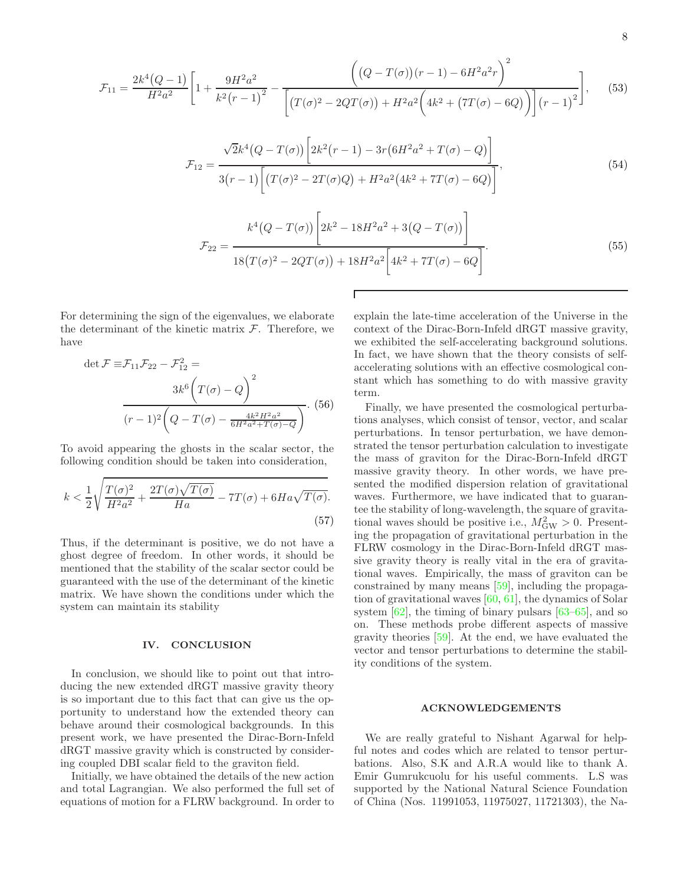$$
\mathcal{F}_{11} = \frac{2k^4(Q-1)}{H^2a^2} \left[ 1 + \frac{9H^2a^2}{k^2(r-1)^2} - \frac{\left((Q-T(\sigma))(r-1) - 6H^2a^2r\right)^2}{\left[\left(T(\sigma)^2 - 2QT(\sigma)\right) + H^2a^2\left(4k^2 + \left(7T(\sigma) - 6Q\right)\right)\right](r-1)^2} \right], \quad (53)
$$
\n
$$
\mathcal{F}_{12} = \frac{\sqrt{2}k^4(Q-T(\sigma))\left[2k^2(r-1) - 3r\left(6H^2a^2 + T(\sigma) - Q\right)\right]}{3(r-1)\left[\left(T(\sigma)^2 - 2T(\sigma)Q\right) + H^2a^2\left(4k^2 + 7T(\sigma) - 6Q\right)\right]}, \quad (54)
$$
\n
$$
\mathcal{F}_{22} = \frac{k^4(Q-T(\sigma))\left[2k^2 - 18H^2a^2 + 3(Q-T(\sigma))\right]}{18(T(\sigma)^2 - 2QT(\sigma)) + 18H^2a^2\left[4k^2 + 7T(\sigma) - 6Q\right]}.
$$
\n(55)

For determining the sign of the eigenvalues, we elaborate the determinant of the kinetic matrix  $\mathcal{F}$ . Therefore, we have

$$
\det \mathcal{F} \equiv \mathcal{F}_{11} \mathcal{F}_{22} - \mathcal{F}_{12}^2 =
$$
  

$$
3k^6 \left( T(\sigma) - Q \right)^2
$$
  

$$
(r-1)^2 \left( Q - T(\sigma) - \frac{4k^2 H^2 a^2}{6H^2 a^2 + T(\sigma) - Q} \right). (56)
$$

To avoid appearing the ghosts in the scalar sector, the following condition should be taken into consideration,

$$
k < \frac{1}{2} \sqrt{\frac{T(\sigma)^2}{H^2 a^2} + \frac{2T(\sigma)\sqrt{T(\sigma)}}{Ha}} - 7T(\sigma) + 6Ha\sqrt{T(\sigma)}.
$$
\n<sup>(57)</sup>

Thus, if the determinant is positive, we do not have a ghost degree of freedom. In other words, it should be mentioned that the stability of the scalar sector could be guaranteed with the use of the determinant of the kinetic matrix. We have shown the conditions under which the system can maintain its stability

## <span id="page-7-0"></span>IV. CONCLUSION

In conclusion, we should like to point out that introducing the new extended dRGT massive gravity theory is so important due to this fact that can give us the opportunity to understand how the extended theory can behave around their cosmological backgrounds. In this present work, we have presented the Dirac-Born-Infeld dRGT massive gravity which is constructed by considering coupled DBI scalar field to the graviton field.

Initially, we have obtained the details of the new action and total Lagrangian. We also performed the full set of equations of motion for a FLRW background. In order to

explain the late-time acceleration of the Universe in the context of the Dirac-Born-Infeld dRGT massive gravity, we exhibited the self-accelerating background solutions. In fact, we have shown that the theory consists of selfaccelerating solutions with an effective cosmological constant which has something to do with massive gravity term.

Finally, we have presented the cosmological perturbations analyses, which consist of tensor, vector, and scalar perturbations. In tensor perturbation, we have demonstrated the tensor perturbation calculation to investigate the mass of graviton for the Dirac-Born-Infeld dRGT massive gravity theory. In other words, we have presented the modified dispersion relation of gravitational waves. Furthermore, we have indicated that to guarantee the stability of long-wavelength, the square of gravitational waves should be positive i.e.,  $M_{\text{GW}}^2 > 0$ . Presenting the propagation of gravitational perturbation in the FLRW cosmology in the Dirac-Born-Infeld dRGT massive gravity theory is really vital in the era of gravitational waves. Empirically, the mass of graviton can be constrained by many means [\[59\]](#page-9-12), including the propagation of gravitational waves  $[60, 61]$  $[60, 61]$  $[60, 61]$ , the dynamics of Solar system [\[62\]](#page-9-15), the timing of binary pulsars [\[63](#page-9-16)[–65\]](#page-9-17), and so on. These methods probe different aspects of massive gravity theories [\[59](#page-9-12)]. At the end, we have evaluated the vector and tensor perturbations to determine the stability conditions of the system.

## ACKNOWLEDGEMENTS

We are really grateful to Nishant Agarwal for helpful notes and codes which are related to tensor perturbations. Also, S.K and A.R.A would like to thank A. Emir Gumrukcuolu for his useful comments. L.S was supported by the National Natural Science Foundation of China (Nos. 11991053, 11975027, 11721303), the Na-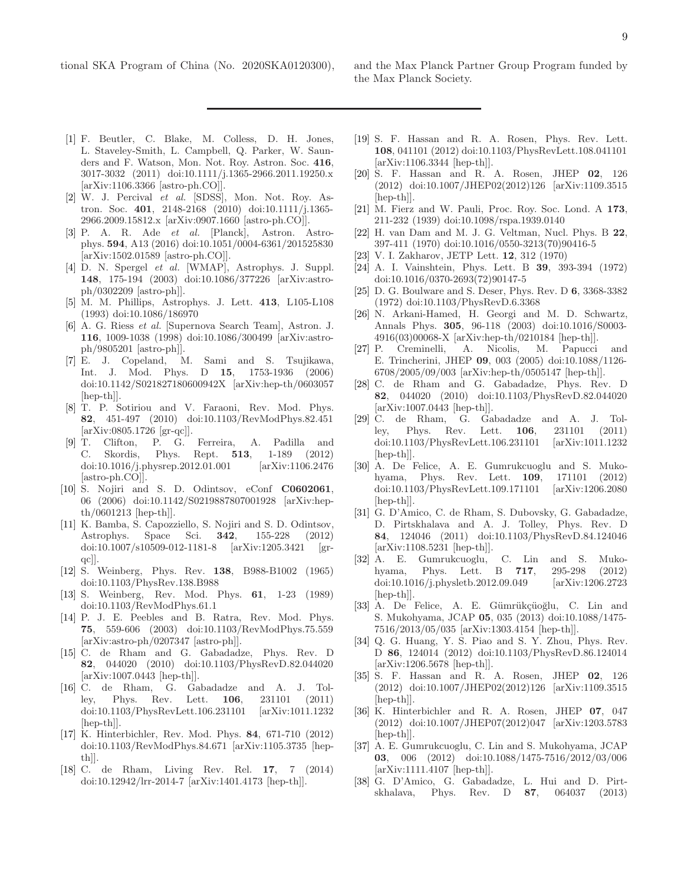- <span id="page-8-0"></span>[1] F. Beutler, C. Blake, M. Colless, D. H. Jones, L. Staveley-Smith, L. Campbell, Q. Parker, W. Saunders and F. Watson, Mon. Not. Roy. Astron. Soc. 416, 3017-3032 (2011) doi:10.1111/j.1365-2966.2011.19250.x [arXiv:1106.3366 [astro-ph.CO]].
- <span id="page-8-1"></span>[2] W. J. Percival et al. [SDSS], Mon. Not. Roy. Astron. Soc. 401, 2148-2168 (2010) doi:10.1111/j.1365- 2966.2009.15812.x [arXiv:0907.1660 [astro-ph.CO]].
- <span id="page-8-2"></span>[3] P. A. R. Ade et al. [Planck], Astron. Astrophys. 594, A13 (2016) doi:10.1051/0004-6361/201525830 [arXiv:1502.01589 [astro-ph.CO]].
- <span id="page-8-3"></span>[4] D. N. Spergel et al. [WMAP], Astrophys. J. Suppl. 148, 175-194 (2003) doi:10.1086/377226 [arXiv:astroph/0302209 [astro-ph]].
- <span id="page-8-4"></span>[5] M. M. Phillips, Astrophys. J. Lett. 413, L105-L108 (1993) doi:10.1086/186970
- <span id="page-8-5"></span>[6] A. G. Riess et al. [Supernova Search Team], Astron. J. 116, 1009-1038 (1998) doi:10.1086/300499 [arXiv:astroph/9805201 [astro-ph]].
- <span id="page-8-6"></span>[7] E. J. Copeland, M. Sami and S. Tsujikawa, Int. J. Mod. Phys. D 15, 1753-1936 (2006) doi:10.1142/S021827180600942X [arXiv:hep-th/0603057 [hep-th]].
- [8] T. P. Sotiriou and V. Faraoni, Rev. Mod. Phys. 82, 451-497 (2010) doi:10.1103/RevModPhys.82.451 [arXiv:0805.1726 [gr-qc]].
- [9] T. Clifton, P. G. Ferreira, A. Padilla and C. Skordis, Phys. Rept. **513**, 1-189 (2012) C. Skordis, Phys. Rept. 513, 1-189 (2012) doi:10.1016/j.physrep.2012.01.001 [arXiv:1106.2476 [astro-ph.CO]].
- [10] S. Nojiri and S. D. Odintsov, eConf **C0602061**, 06 (2006) doi:10.1142/S0219887807001928 [arXiv:hepth/0601213 [hep-th]].
- <span id="page-8-7"></span>[11] K. Bamba, S. Capozziello, S. Nojiri and S. D. Odintsov, Astrophys. Space Sci. 342, 155-228 (2012) doi:10.1007/s10509-012-1181-8 [arXiv:1205.3421 [grqc]].
- <span id="page-8-8"></span>[12] S. Weinberg, Phys. Rev. 138, B988-B1002 (1965) doi:10.1103/PhysRev.138.B988
- <span id="page-8-9"></span>[13] S. Weinberg, Rev. Mod. Phys. 61, 1-23 (1989) doi:10.1103/RevModPhys.61.1
- <span id="page-8-10"></span>[14] P. J. E. Peebles and B. Ratra, Rev. Mod. Phys. 75, 559-606 (2003) doi:10.1103/RevModPhys.75.559 [arXiv:astro-ph/0207347 [astro-ph]].
- [15] C. de Rham and G. Gabadadze, Phys. Rev. D 82, 044020 (2010) doi:10.1103/PhysRevD.82.044020 [arXiv:1007.0443 [hep-th]].
- [16] C. de Rham, G. Gabadadze and A. J. Tolley, Phys. Rev. Lett. 106, 231101 (2011) doi:10.1103/PhysRevLett.106.231101 [arXiv:1011.1232 [hep-th]].
- <span id="page-8-11"></span>[17] K. Hinterbichler, Rev. Mod. Phys. 84, 671-710 (2012) doi:10.1103/RevModPhys.84.671 [arXiv:1105.3735 [hepth]].
- [18] C. de Rham, Living Rev. Rel. 17, 7 (2014) doi:10.12942/lrr-2014-7 [arXiv:1401.4173 [hep-th]].
- <span id="page-8-12"></span>[19] S. F. Hassan and R. A. Rosen, Phys. Rev. Lett. 108, 041101 (2012) doi:10.1103/PhysRevLett.108.041101 [arXiv:1106.3344 [hep-th]].
- [20] S. F. Hassan and R. A. Rosen, JHEP 02, 126 (2012) doi:10.1007/JHEP02(2012)126 [arXiv:1109.3515 [hep-th]].
- <span id="page-8-16"></span>[21] M. Fierz and W. Pauli, Proc. Roy. Soc. Lond. A 173, 211-232 (1939) doi:10.1098/rspa.1939.0140
- <span id="page-8-17"></span>[22] H. van Dam and M. J. G. Veltman, Nucl. Phys. B 22, 397-411 (1970) doi:10.1016/0550-3213(70)90416-5
- <span id="page-8-18"></span>[23] V. I. Zakharov, JETP Lett. 12, 312 (1970)
- <span id="page-8-19"></span>[24] A. I. Vainshtein, Phys. Lett. B 39, 393-394 (1972) doi:10.1016/0370-2693(72)90147-5
- <span id="page-8-20"></span>[25] D. G. Boulware and S. Deser, Phys. Rev. D 6, 3368-3382 (1972) doi:10.1103/PhysRevD.6.3368
- <span id="page-8-21"></span>[26] N. Arkani-Hamed, H. Georgi and M. D. Schwartz, Annals Phys. 305, 96-118 (2003) doi:10.1016/S0003- 4916(03)00068-X [arXiv:hep-th/0210184 [hep-th]].
- <span id="page-8-22"></span>[27] P. Creminelli, A. Nicolis, M. Papucci and E. Trincherini, JHEP 09, 003 (2005) doi:10.1088/1126- 6708/2005/09/003 [arXiv:hep-th/0505147 [hep-th]].
- <span id="page-8-13"></span>[28] C. de Rham and G. Gabadadze, Phys. Rev. D 82, 044020 (2010) doi:10.1103/PhysRevD.82.044020 [arXiv:1007.0443 [hep-th]].
- <span id="page-8-14"></span>[29] C. de Rham, G. Gabadadze and A. J. Tolley, Phys. Rev. Lett. 106, 231101 (2011) doi:10.1103/PhysRevLett.106.231101 [arXiv:1011.1232 [hep-th]].
- <span id="page-8-23"></span>[30] A. De Felice, A. E. Gumrukcuoglu and S. Mukohyama, Phys. Rev. Lett. 109, 171101 (2012) doi:10.1103/PhysRevLett.109.171101 [arXiv:1206.2080 [hep-th]].
- <span id="page-8-24"></span>[31] G. D'Amico, C. de Rham, S. Dubovsky, G. Gabadadze, D. Pirtskhalava and A. J. Tolley, Phys. Rev. D 84, 124046 (2011) doi:10.1103/PhysRevD.84.124046 [arXiv:1108.5231 [hep-th]].
- [32] A. E. Gumrukcuoglu, C. Lin and S. Mukohyama, Phys. Lett. B 717, 295-298 (2012) doi:10.1016/j.physletb.2012.09.049 [arXiv:1206.2723 [hep-th]].
- [33] A. De Felice, A. E. Gümrükçüoğlu, C. Lin and S. Mukohyama, JCAP 05, 035 (2013) doi:10.1088/1475- 7516/2013/05/035 [arXiv:1303.4154 [hep-th]].
- [34] Q. G. Huang, Y. S. Piao and S. Y. Zhou, Phys. Rev. D 86, 124014 (2012) doi:10.1103/PhysRevD.86.124014 [arXiv:1206.5678 [hep-th]].
- <span id="page-8-15"></span>[35] S. F. Hassan and R. A. Rosen, JHEP 02, 126 (2012) doi:10.1007/JHEP02(2012)126 [arXiv:1109.3515 [hep-th]].
- <span id="page-8-25"></span>[36] K. Hinterbichler and R. A. Rosen, JHEP 07, 047 (2012) doi:10.1007/JHEP07(2012)047 [arXiv:1203.5783 [hep-th]].
- <span id="page-8-26"></span>[37] A. E. Gumrukcuoglu, C. Lin and S. Mukohyama, JCAP 03, 006 (2012) doi:10.1088/1475-7516/2012/03/006 [arXiv:1111.4107 [hep-th]].
- <span id="page-8-27"></span>[38] G. D'Amico, G. Gabadadze, L. Hui and D. Pirtskhalava, Phys. Rev. D 87, 064037 (2013)